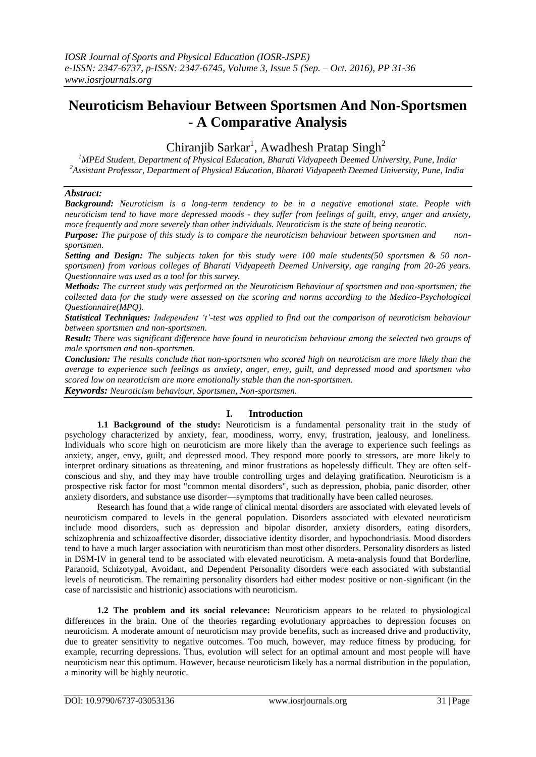# **Neuroticism Behaviour Between Sportsmen And Non-Sportsmen - A Comparative Analysis**

Chiranjib Sarkar<sup>1</sup>, Awadhesh Pratap Singh<sup>2</sup>

*<sup>1</sup>MPEd Student, Department of Physical Education, Bharati Vidyapeeth Deemed University, Pune, India, <sup>2</sup>Assistant Professor, Department of Physical Education, Bharati Vidyapeeth Deemed University, Pune, India,*

## *Abstract:*

*Background: Neuroticism is a long-term tendency to be in a negative emotional state. People with neuroticism tend to have more depressed moods - they suffer from feelings of guilt, envy, anger and anxiety, more frequently and more severely than other individuals. Neuroticism is the state of being neurotic.*

*Purpose: The purpose of this study is to compare the neuroticism behaviour between sportsmen and nonsportsmen.*

*Setting and Design: The subjects taken for this study were 100 male students(50 sportsmen & 50 nonsportsmen) from various colleges of Bharati Vidyapeeth Deemed University, age ranging from 20-26 years. Questionnaire was used as a tool for this survey.*

*Methods: The current study was performed on the Neuroticism Behaviour of sportsmen and non-sportsmen; the collected data for the study were assessed on the scoring and norms according to the Medico-Psychological Questionnaire(MPQ).*

*Statistical Techniques: Independent 't'-test was applied to find out the comparison of neuroticism behaviour between sportsmen and non-sportsmen.*

*Result: There was significant difference have found in neuroticism behaviour among the selected two groups of male sportsmen and non-sportsmen.*

*Conclusion: The results conclude that non-sportsmen who scored high on neuroticism are more likely than the average to experience such feelings as anxiety, anger, envy, guilt, and depressed mood and sportsmen who scored low on neuroticism are more emotionally stable than the non-sportsmen.*

*Keywords: Neuroticism behaviour, Sportsmen, Non-sportsmen.*

## **I. Introduction**

**1.1 Background of the study:** Neuroticism is a fundamental personality trait in the study of psychology characterized by anxiety, fear, moodiness, worry, envy, frustration, jealousy, and loneliness. Individuals who score high on neuroticism are more likely than the average to experience such feelings as anxiety, anger, envy, guilt, and depressed mood. They respond more poorly to stressors, are more likely to interpret ordinary situations as threatening, and minor frustrations as hopelessly difficult. They are often selfconscious and shy, and they may have trouble controlling urges and delaying gratification. Neuroticism is a prospective risk factor for most "common mental disorders", such as depression, phobia, panic disorder, other anxiety disorders, and substance use disorder—symptoms that traditionally have been called neuroses.

Research has found that a wide range of clinical mental disorders are associated with elevated levels of neuroticism compared to levels in the general population. Disorders associated with elevated neuroticism include mood disorders, such as depression and bipolar disorder, anxiety disorders, eating disorders, schizophrenia and schizoaffective disorder, dissociative identity disorder, and hypochondriasis. Mood disorders tend to have a much larger association with neuroticism than most other disorders. Personality disorders as listed in DSM-IV in general tend to be associated with elevated neuroticism. A meta-analysis found that Borderline, Paranoid, Schizotypal, Avoidant, and Dependent Personality disorders were each associated with substantial levels of neuroticism. The remaining personality disorders had either modest positive or non-significant (in the case of narcissistic and histrionic) associations with neuroticism.

**1.2 The problem and its social relevance:** Neuroticism appears to be related to physiological differences in the brain. One of the theories regarding evolutionary approaches to depression focuses on neuroticism. A moderate amount of neuroticism may provide benefits, such as increased drive and productivity, due to greater sensitivity to negative outcomes. Too much, however, may reduce fitness by producing, for example, recurring depressions. Thus, evolution will select for an optimal amount and most people will have neuroticism near this optimum. However, because neuroticism likely has a normal distribution in the population, a minority will be highly neurotic.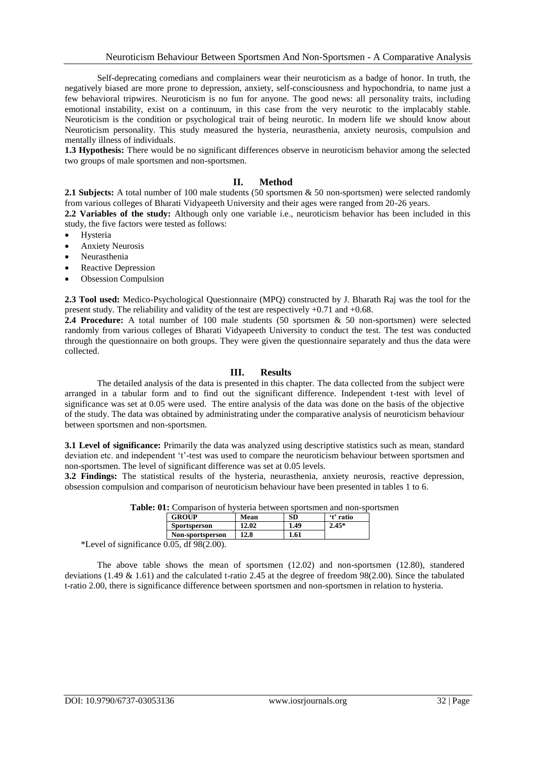Self-deprecating comedians and complainers wear their neuroticism as a badge of honor. In truth, the negatively biased are more prone to depression, anxiety, self-consciousness and hypochondria, to name just a few behavioral tripwires. Neuroticism is no fun for anyone. The good news: all personality traits, including emotional instability, exist on a continuum, in this case from the very neurotic to the implacably stable. Neuroticism is the condition or psychological trait of being neurotic. In modern life we should know about Neuroticism personality. This study measured the hysteria, neurasthenia, anxiety neurosis, compulsion and mentally illness of individuals.

**1.3 Hypothesis:** There would be no significant differences observe in neuroticism behavior among the selected two groups of male sportsmen and non-sportsmen.

#### **II. Method**

2.1 Subjects: A total number of 100 male students (50 sportsmen & 50 non-sportsmen) were selected randomly from various colleges of Bharati Vidyapeeth University and their ages were ranged from 20-26 years.

**2.2 Variables of the study:** Although only one variable i.e., neuroticism behavior has been included in this study, the five factors were tested as follows:

- Hysteria
- Anxiety Neurosis
- Neurasthenia
- Reactive Depression
- Obsession Compulsion

**2.3 Tool used:** Medico-Psychological Questionnaire (MPQ) constructed by J. Bharath Raj was the tool for the present study. The reliability and validity of the test are respectively +0.71 and +0.68.

**2.4 Procedure:** A total number of 100 male students (50 sportsmen & 50 non-sportsmen) were selected randomly from various colleges of Bharati Vidyapeeth University to conduct the test. The test was conducted through the questionnaire on both groups. They were given the questionnaire separately and thus the data were collected.

### **III. Results**

The detailed analysis of the data is presented in this chapter. The data collected from the subject were arranged in a tabular form and to find out the significant difference. Independent t-test with level of significance was set at 0.05 were used. The entire analysis of the data was done on the basis of the objective of the study. The data was obtained by administrating under the comparative analysis of neuroticism behaviour between sportsmen and non-sportsmen.

**3.1 Level of significance:** Primarily the data was analyzed using descriptive statistics such as mean, standard deviation etc. and independent 't'-test was used to compare the neuroticism behaviour between sportsmen and non-sportsmen. The level of significant difference was set at 0.05 levels.

**3.2 Findings:** The statistical results of the hysteria, neurasthenia, anxiety neurosis, reactive depression, obsession compulsion and comparison of neuroticism behaviour have been presented in tables 1 to 6.

|                                                 | <b>c.</b> 01. Companison of hysicha between sportsmen and non-spo |       |      |           |
|-------------------------------------------------|-------------------------------------------------------------------|-------|------|-----------|
|                                                 | <b>GROUP</b>                                                      | Mean  | SD   | 't' ratio |
|                                                 | <b>Sportsperson</b>                                               | 12.02 | 1.49 | $2.45*$   |
|                                                 | Non-sportsperson                                                  | 12.8  | 1.61 |           |
| 10000000<br>$\ldots \wedge \wedge \blacksquare$ |                                                                   |       |      |           |

**Table: 01:** Comparison of hysteria between sportsmen and non-sportsmen

\*Level of significance 0.05, df 98(2.00).

The above table shows the mean of sportsmen (12.02) and non-sportsmen (12.80), standered deviations (1.49 & 1.61) and the calculated t-ratio 2.45 at the degree of freedom 98(2.00). Since the tabulated t-ratio 2.00, there is significance difference between sportsmen and non-sportsmen in relation to hysteria.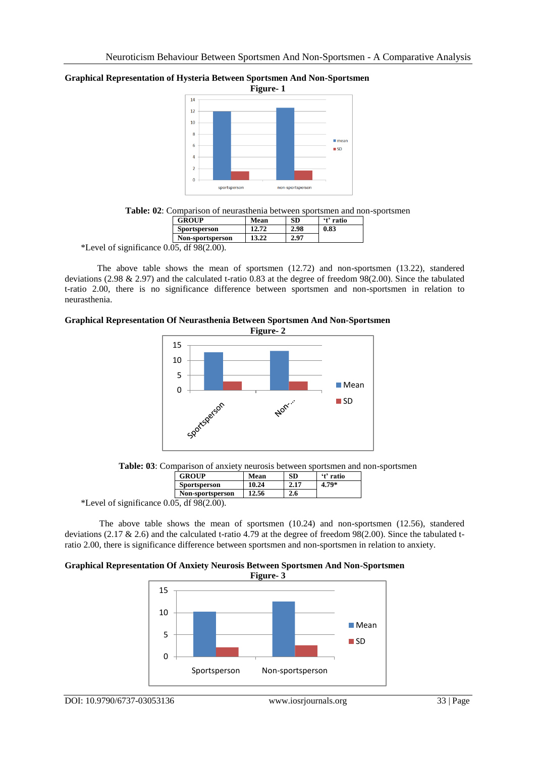## **Graphical Representation of Hysteria Between Sportsmen And Non-Sportsmen**



**Table: 02**: Comparison of neurasthenia between sportsmen and non-sportsmen

| <b>GROUP</b>                                            | Mean  | SD   | 't' ratio |
|---------------------------------------------------------|-------|------|-----------|
| Sportsperson                                            | 12.72 | 2.98 | 0.83      |
| Non-sportsperson                                        | 13.22 | 2.97 |           |
| $\sim$ $\sim$ $\sim$ $\sim$ $\sim$ $\sim$<br>$\sim$ $-$ |       |      |           |

\*Level of significance 0.05, df 98(2.00).

The above table shows the mean of sportsmen (12.72) and non-sportsmen (13.22), standered deviations (2.98 & 2.97) and the calculated t-ratio 0.83 at the degree of freedom 98(2.00). Since the tabulated t-ratio 2.00, there is no significance difference between sportsmen and non-sportsmen in relation to neurasthenia.

### **Graphical Representation Of Neurasthenia Between Sportsmen And Non-Sportsmen**



**Table: 03**: Comparison of anxiety neurosis between sportsmen and non-sportsmen

|                                  | <b>GROUP</b>        | Mean  | SD  | 't' ratio |
|----------------------------------|---------------------|-------|-----|-----------|
|                                  | <b>Sportsperson</b> | 10.24 | 217 | $4.79*$   |
|                                  | Non-sportsperson    | 2.56  | 2.6 |           |
| $\Omega$ $\Omega$ $\overline{r}$ | 10.00 $(0.00)$      |       |     |           |

\*Level of significance 0.05, df 98(2.00).

The above table shows the mean of sportsmen (10.24) and non-sportsmen (12.56), standered deviations (2.17 & 2.6) and the calculated t-ratio 4.79 at the degree of freedom 98(2.00). Since the tabulated tratio 2.00, there is significance difference between sportsmen and non-sportsmen in relation to anxiety.

## **Graphical Representation Of Anxiety Neurosis Between Sportsmen And Non-Sportsmen**

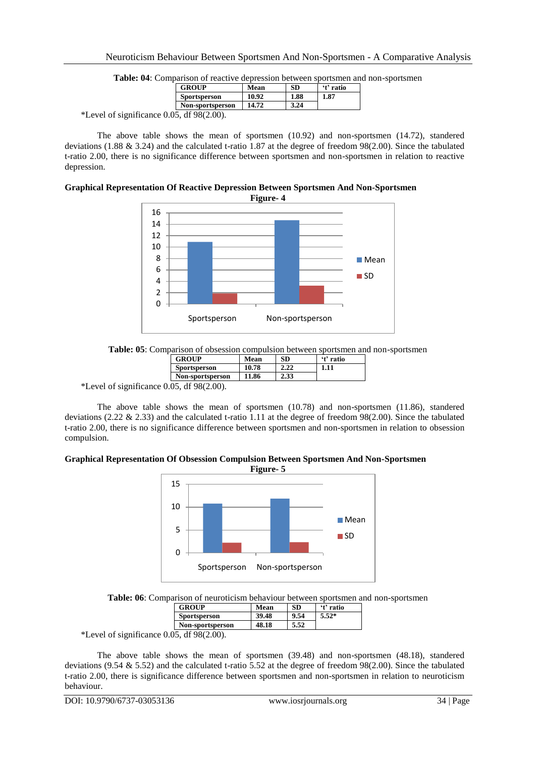| __ | GROUP                        | Mean  | SD   | 't' ratio |  |
|----|------------------------------|-------|------|-----------|--|
|    | Sportsperson                 | 10.92 | 1.88 | 1.87      |  |
|    | Non-sportsperson             | 14.72 | 3.24 |           |  |
|    | 10.00(2.00)<br>$\sim$ $\sim$ |       |      |           |  |

**Table: 04**: Comparison of reactive depression between sportsmen and non-sportsmen

\*Level of significance  $0.05$ , df  $98(2.00)$ .

The above table shows the mean of sportsmen (10.92) and non-sportsmen (14.72), standered deviations (1.88 & 3.24) and the calculated t-ratio 1.87 at the degree of freedom 98(2.00). Since the tabulated t-ratio 2.00, there is no significance difference between sportsmen and non-sportsmen in relation to reactive depression.

## **Graphical Representation Of Reactive Depression Between Sportsmen And Non-Sportsmen**

**Figure- 4**  $\Omega$ 2 4 6 8 10 12 14 16 Sportsperson Non-sportsperson ■ Mean **III** SD

**Table: 05**: Comparison of obsession compulsion between sportsmen and non-sportsmen

| GROUP                        | Mean  | SD   | 't' ratio |  |
|------------------------------|-------|------|-----------|--|
| Sportsperson                 | 10.78 | 2.22 | 1.11      |  |
| Non-sportsperson             | 11.86 | 2.33 |           |  |
| 10.0010.001<br>$\sim$ $\sim$ |       |      |           |  |

\*Level of significance 0.05, df 98(2.00).

The above table shows the mean of sportsmen (10.78) and non-sportsmen (11.86), standered deviations (2.22 & 2.33) and the calculated t-ratio 1.11 at the degree of freedom 98(2.00). Since the tabulated t-ratio 2.00, there is no significance difference between sportsmen and non-sportsmen in relation to obsession compulsion.

## **Graphical Representation Of Obsession Compulsion Between Sportsmen And Non-Sportsmen**



**Table: 06**: Comparison of neuroticism behaviour between sportsmen and non-sportsmen

| <b>GROUP</b>                                     | Mean  | SD.  | 't' ratio |  |
|--------------------------------------------------|-------|------|-----------|--|
| <b>Sportsperson</b>                              | 39.48 | 9.54 | $5.52*$   |  |
| Non-sportsperson                                 | 48.18 | 5.52 |           |  |
| $\sim$ $\sim$ $\sim$ $\sim$ $\sim$ $\sim$<br>- - |       |      |           |  |

\*Level of significance 0.05, df 98(2.00).

The above table shows the mean of sportsmen (39.48) and non-sportsmen (48.18), standered deviations (9.54 & 5.52) and the calculated t-ratio 5.52 at the degree of freedom 98(2.00). Since the tabulated t-ratio 2.00, there is significance difference between sportsmen and non-sportsmen in relation to neuroticism behaviour.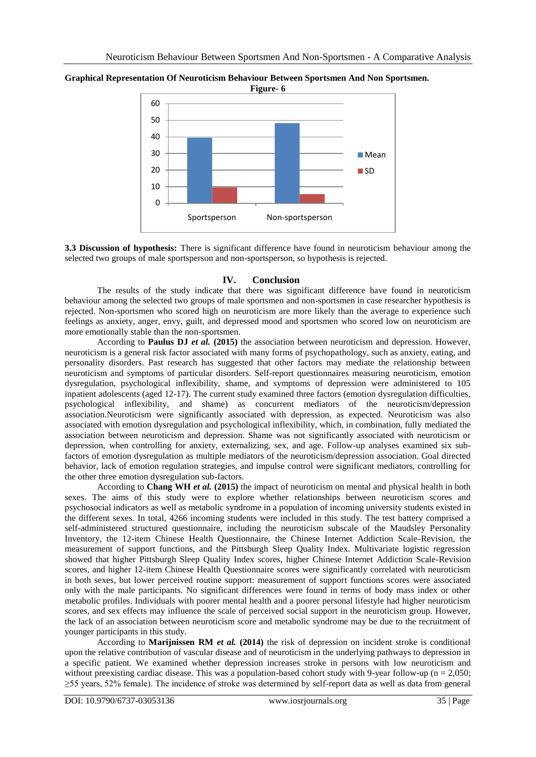

**Graphical Representation Of Neuroticism Behaviour Between Sportsmen And Non Sportsmen.**

**3.3 Discussion of hypothesis:** There is significant difference have found in neuroticism behaviour among the selected two groups of male sportsperson and non-sportsperson, so hypothesis is rejected.

### **IV. Conclusion**

The results of the study indicate that there was significant difference have found in neuroticism behaviour among the selected two groups of male sportsmen and non-sportsmen in case researcher hypothesis is rejected. Non-sportsmen who scored high on neuroticism are more likely than the average to experience such feelings as anxiety, anger, envy, guilt, and depressed mood and sportsmen who scored low on neuroticism are more emotionally stable than the non-sportsmen.

According to **Paulus DJ** *et al.* **(2015)** the association between neuroticism and depression. However, neuroticism is a general risk factor associated with many forms of psychopathology, such as anxiety, eating, and personality disorders. Past research has suggested that other factors may mediate the relationship between neuroticism and symptoms of particular disorders. Self-report questionnaires measuring neuroticism, emotion dysregulation, psychological inflexibility, shame, and symptoms of depression were administered to 105 inpatient adolescents (aged 12-17). The current study examined three factors (emotion dysregulation difficulties, psychological inflexibility, and shame) as concurrent mediators of the neuroticism/depression association.Neuroticism were significantly associated with depression, as expected. Neuroticism was also associated with emotion dysregulation and psychological inflexibility, which, in combination, fully mediated the association between neuroticism and depression. Shame was not significantly associated with neuroticism or depression, when controlling for anxiety, externalizing, sex, and age. Follow-up analyses examined six subfactors of emotion dysregulation as multiple mediators of the neuroticism/depression association. Goal directed behavior, lack of emotion regulation strategies, and impulse control were significant mediators, controlling for the other three emotion dysregulation sub-factors.

According to **Chang WH** *et al.* **(2015)** the impact of neuroticism on mental and physical health in both sexes. The aims of this study were to explore whether relationships between neuroticism scores and psychosocial indicators as well as metabolic syndrome in a population of incoming university students existed in the different sexes. In total, 4266 incoming students were included in this study. The test battery comprised a self-administered structured questionnaire, including the neuroticism subscale of the Maudsley Personality Inventory, the 12-item Chinese Health Questionnaire, the Chinese Internet Addiction Scale-Revision, the measurement of support functions, and the Pittsburgh Sleep Quality Index. Multivariate logistic regression showed that higher Pittsburgh Sleep Quality Index scores, higher Chinese Internet Addiction Scale-Revision scores, and higher 12-item Chinese Health Questionnaire scores were significantly correlated with neuroticism in both sexes, but lower perceived routine support: measurement of support functions scores were associated only with the male participants. No significant differences were found in terms of body mass index or other metabolic profiles. Individuals with poorer mental health and a poorer personal lifestyle had higher neuroticism scores, and sex effects may influence the scale of perceived social support in the neuroticism group. However, the lack of an association between neuroticism score and metabolic syndrome may be due to the recruitment of younger participants in this study.

According to **Marijnissen RM** *et al.* **(2014)** the risk of depression on incident stroke is conditional upon the relative contribution of vascular disease and of neuroticism in the underlying pathways to depression in a specific patient. We examined whether depression increases stroke in persons with low neuroticism and without preexisting cardiac disease. This was a population-based cohort study with 9-year follow-up ( $n = 2,050$ ; ≥55 years, 52% female). The incidence of stroke was determined by self-report data as well as data from general